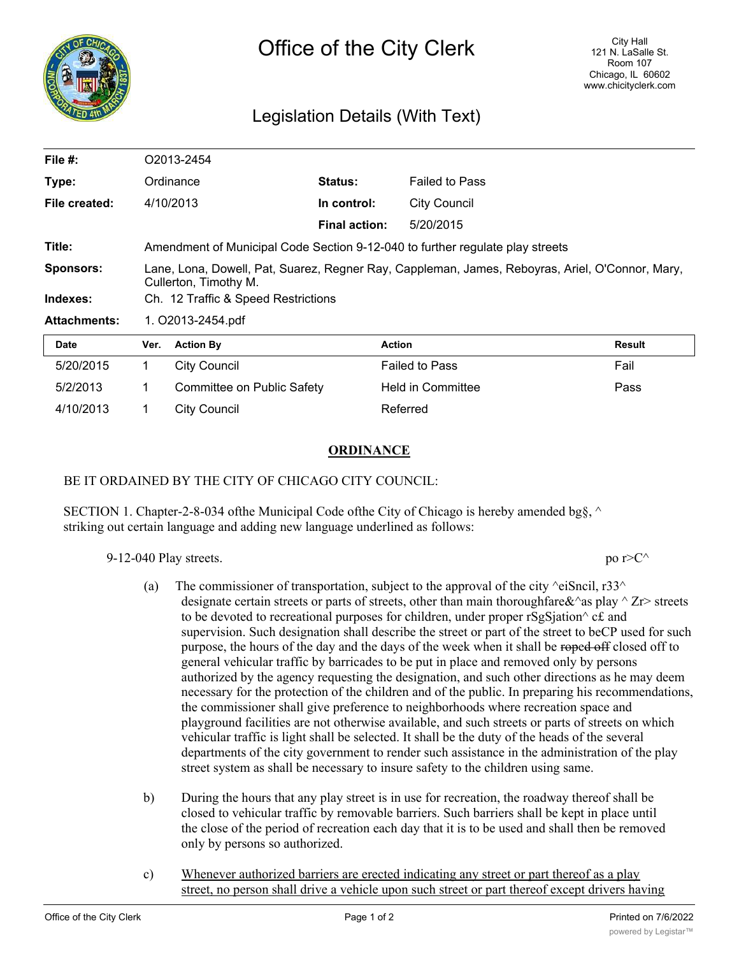

## Legislation Details (With Text)

| File $#$ :          | O2013-2454                                                                                                               |                            |                      |                          |        |
|---------------------|--------------------------------------------------------------------------------------------------------------------------|----------------------------|----------------------|--------------------------|--------|
| Type:               | Ordinance                                                                                                                |                            | <b>Status:</b>       | <b>Failed to Pass</b>    |        |
| File created:       |                                                                                                                          | 4/10/2013                  | In control:          | <b>City Council</b>      |        |
|                     |                                                                                                                          |                            | <b>Final action:</b> | 5/20/2015                |        |
| Title:              | Amendment of Municipal Code Section 9-12-040 to further regulate play streets                                            |                            |                      |                          |        |
| <b>Sponsors:</b>    | Lane, Lona, Dowell, Pat, Suarez, Regner Ray, Cappleman, James, Reboyras, Ariel, O'Connor, Mary,<br>Cullerton, Timothy M. |                            |                      |                          |        |
| Indexes:            | Ch. 12 Traffic & Speed Restrictions                                                                                      |                            |                      |                          |        |
| <b>Attachments:</b> | 1. O2013-2454.pdf                                                                                                        |                            |                      |                          |        |
| Date                | Ver.                                                                                                                     | <b>Action By</b>           |                      | <b>Action</b>            | Result |
| 5/20/2015           | 1.                                                                                                                       | <b>City Council</b>        |                      | <b>Failed to Pass</b>    | Fail   |
| 5/2/2013            | 1.                                                                                                                       | Committee on Public Safety |                      | <b>Held in Committee</b> | Pass   |
| 4/10/2013           | 1.                                                                                                                       | City Council               |                      | Referred                 |        |

## **ORDINANCE**

## BE IT ORDAINED BY THE CITY OF CHICAGO CITY COUNCIL:

SECTION 1. Chapter-2-8-034 of the Municipal Code of the City of Chicago is hereby amended bg $\S$ ,  $\land$ striking out certain language and adding new language underlined as follows:

9-12-040 Play streets. po r>C^

- (a) The commissioner of transportation, subject to the approval of the city  $\triangle$ eiSncil, r33 $\triangle$ designate certain streets or parts of streets, other than main thoroughfare  $\&^{\wedge}$  as play  $\wedge$  Zr> streets to be devoted to recreational purposes for children, under proper rSgSjation $\wedge$  c£ and supervision. Such designation shall describe the street or part of the street to beCP used for such purpose, the hours of the day and the days of the week when it shall be roped off closed off to general vehicular traffic by barricades to be put in place and removed only by persons authorized by the agency requesting the designation, and such other directions as he may deem necessary for the protection of the children and of the public. In preparing his recommendations, the commissioner shall give preference to neighborhoods where recreation space and playground facilities are not otherwise available, and such streets or parts of streets on which vehicular traffic is light shall be selected. It shall be the duty of the heads of the several departments of the city government to render such assistance in the administration of the play street system as shall be necessary to insure safety to the children using same.
- b) During the hours that any play street is in use for recreation, the roadway thereof shall be closed to vehicular traffic by removable barriers. Such barriers shall be kept in place until the close of the period of recreation each day that it is to be used and shall then be removed only by persons so authorized.
- c) Whenever authorized barriers are erected indicating any street or part thereof as a play street, no person shall drive a vehicle upon such street or part thereof except drivers having